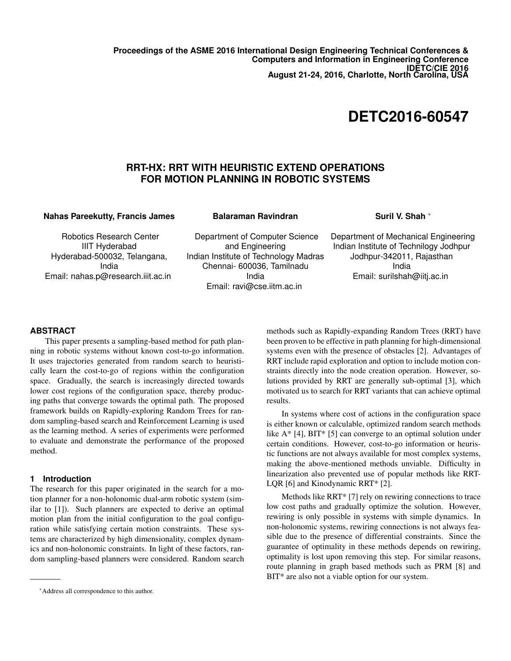**Proceedings of the ASME 2016 International Design Engineering Technical Conferences & Computers and Information in Engineering Conference IDETC/CIE 2016 August 21-24, 2016, Charlotte, North Carolina, USA**

# **DETC2016-60547**

# **RRT-HX: RRT WITH HEURISTIC EXTEND OPERATIONS FOR MOTION PLANNING IN ROBOTIC SYSTEMS**

#### **Nahas Pareekutty, Francis James**

**Balaraman Ravindran**

**Suril V. Shah** <sup>∗</sup>

Robotics Research Center IIIT Hyderabad Hyderabad-500032, Telangana, India Email: nahas.p@research.iiit.ac.in

Department of Computer Science and Engineering Indian Institute of Technology Madras Chennai- 600036, Tamilnadu India Email: ravi@cse.iitm.ac.in

Department of Mechanical Engineering Indian Institute of Technilogy Jodhpur Jodhpur-342011, Rajasthan India Email: surilshah@iitj.ac.in

# **ABSTRACT**

This paper presents a sampling-based method for path planning in robotic systems without known cost-to-go information. It uses trajectories generated from random search to heuristically learn the cost-to-go of regions within the configuration space. Gradually, the search is increasingly directed towards lower cost regions of the configuration space, thereby producing paths that converge towards the optimal path. The proposed framework builds on Rapidly-exploring Random Trees for random sampling-based search and Reinforcement Learning is used as the learning method. A series of experiments were performed to evaluate and demonstrate the performance of the proposed method.

### **1 Introduction**

The research for this paper originated in the search for a motion planner for a non-holonomic dual-arm robotic system (similar to [1]). Such planners are expected to derive an optimal motion plan from the initial configuration to the goal configuration while satisfying certain motion constraints. These systems are characterized by high dimensionality, complex dynamics and non-holonomic constraints. In light of these factors, random sampling-based planners were considered. Random search methods such as Rapidly-expanding Random Trees (RRT) have been proven to be effective in path planning for high-dimensional systems even with the presence of obstacles [2]. Advantages of RRT include rapid exploration and option to include motion constraints directly into the node creation operation. However, solutions provided by RRT are generally sub-optimal [3], which motivated us to search for RRT variants that can achieve optimal results.

In systems where cost of actions in the configuration space is either known or calculable, optimized random search methods like A\* [4], BIT\* [5] can converge to an optimal solution under certain conditions. However, cost-to-go information or heuristic functions are not always available for most complex systems, making the above-mentioned methods unviable. Difficulty in linearization also prevented use of popular methods like RRT-LQR [6] and Kinodynamic RRT\* [2].

Methods like RRT\* [7] rely on rewiring connections to trace low cost paths and gradually optimize the solution. However, rewiring is only possible in systems with simple dynamics. In non-holonomic systems, rewiring connections is not always feasible due to the presence of differential constraints. Since the guarantee of optimality in these methods depends on rewiring, optimality is lost upon removing this step. For similar reasons, route planning in graph based methods such as PRM [8] and BIT<sup>\*</sup> are also not a viable option for our system.

<sup>∗</sup>Address all correspondence to this author.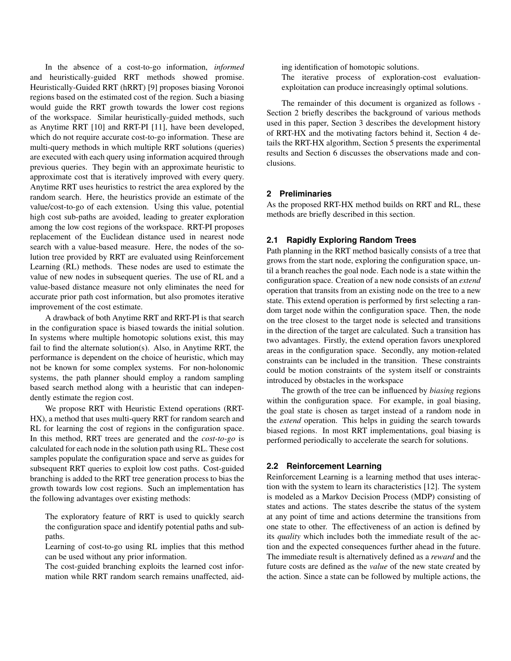In the absence of a cost-to-go information, *informed* and heuristically-guided RRT methods showed promise. Heuristically-Guided RRT (hRRT) [9] proposes biasing Voronoi regions based on the estimated cost of the region. Such a biasing would guide the RRT growth towards the lower cost regions of the workspace. Similar heuristically-guided methods, such as Anytime RRT [10] and RRT-PI [11], have been developed, which do not require accurate cost-to-go information. These are multi-query methods in which multiple RRT solutions (queries) are executed with each query using information acquired through previous queries. They begin with an approximate heuristic to approximate cost that is iteratively improved with every query. Anytime RRT uses heuristics to restrict the area explored by the random search. Here, the heuristics provide an estimate of the value/cost-to-go of each extension. Using this value, potential high cost sub-paths are avoided, leading to greater exploration among the low cost regions of the workspace. RRT-PI proposes replacement of the Euclidean distance used in nearest node search with a value-based measure. Here, the nodes of the solution tree provided by RRT are evaluated using Reinforcement Learning (RL) methods. These nodes are used to estimate the value of new nodes in subsequent queries. The use of RL and a value-based distance measure not only eliminates the need for accurate prior path cost information, but also promotes iterative improvement of the cost estimate.

A drawback of both Anytime RRT and RRT-PI is that search in the configuration space is biased towards the initial solution. In systems where multiple homotopic solutions exist, this may fail to find the alternate solution(s). Also, in Anytime RRT, the performance is dependent on the choice of heuristic, which may not be known for some complex systems. For non-holonomic systems, the path planner should employ a random sampling based search method along with a heuristic that can independently estimate the region cost.

We propose RRT with Heuristic Extend operations (RRT-HX), a method that uses multi-query RRT for random search and RL for learning the cost of regions in the configuration space. In this method, RRT trees are generated and the *cost-to-go* is calculated for each node in the solution path using RL. These cost samples populate the configuration space and serve as guides for subsequent RRT queries to exploit low cost paths. Cost-guided branching is added to the RRT tree generation process to bias the growth towards low cost regions. Such an implementation has the following advantages over existing methods:

The exploratory feature of RRT is used to quickly search the configuration space and identify potential paths and subpaths.

Learning of cost-to-go using RL implies that this method can be used without any prior information.

The cost-guided branching exploits the learned cost information while RRT random search remains unaffected, aiding identification of homotopic solutions.

The iterative process of exploration-cost evaluationexploitation can produce increasingly optimal solutions.

The remainder of this document is organized as follows - Section 2 briefly describes the background of various methods used in this paper, Section 3 describes the development history of RRT-HX and the motivating factors behind it, Section 4 details the RRT-HX algorithm, Section 5 presents the experimental results and Section 6 discusses the observations made and conclusions.

### **2 Preliminaries**

As the proposed RRT-HX method builds on RRT and RL, these methods are briefly described in this section.

#### **2.1 Rapidly Exploring Random Trees**

Path planning in the RRT method basically consists of a tree that grows from the start node, exploring the configuration space, until a branch reaches the goal node. Each node is a state within the configuration space. Creation of a new node consists of an *extend* operation that transits from an existing node on the tree to a new state. This extend operation is performed by first selecting a random target node within the configuration space. Then, the node on the tree closest to the target node is selected and transitions in the direction of the target are calculated. Such a transition has two advantages. Firstly, the extend operation favors unexplored areas in the configuration space. Secondly, any motion-related constraints can be included in the transition. These constraints could be motion constraints of the system itself or constraints introduced by obstacles in the workspace

The growth of the tree can be influenced by *biasing* regions within the configuration space. For example, in goal biasing, the goal state is chosen as target instead of a random node in the *extend* operation. This helps in guiding the search towards biased regions. In most RRT implementations, goal biasing is performed periodically to accelerate the search for solutions.

#### **2.2 Reinforcement Learning**

Reinforcement Learning is a learning method that uses interaction with the system to learn its characteristics [12]. The system is modeled as a Markov Decision Process (MDP) consisting of states and actions. The states describe the status of the system at any point of time and actions determine the transitions from one state to other. The effectiveness of an action is defined by its *quality* which includes both the immediate result of the action and the expected consequences further ahead in the future. The immediate result is alternatively defined as a *reward* and the future costs are defined as the *value* of the new state created by the action. Since a state can be followed by multiple actions, the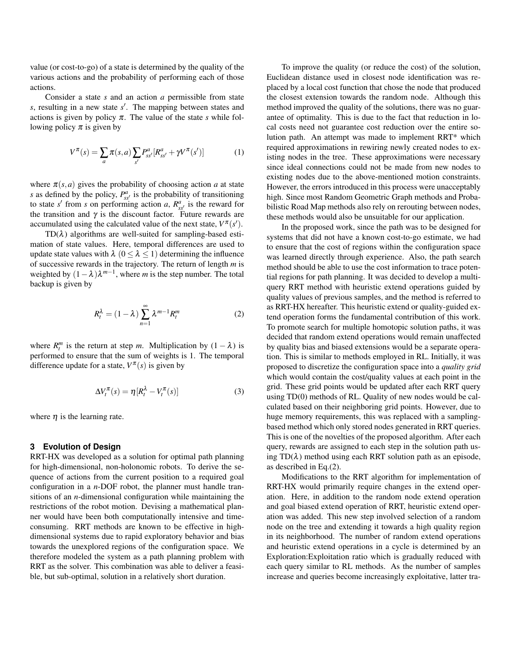value (or cost-to-go) of a state is determined by the quality of the various actions and the probability of performing each of those actions.

Consider a state *s* and an action *a* permissible from state  $s$ , resulting in a new state  $s'$ . The mapping between states and actions is given by policy  $\pi$ . The value of the state *s* while following policy  $\pi$  is given by

$$
V^{\pi}(s) = \sum_{a} \pi(s, a) \sum_{s'} P_{ss'}^{a} [R_{ss'}^{a} + \gamma V^{\pi}(s')] \tag{1}
$$

where  $\pi(s, a)$  gives the probability of choosing action *a* at state *s* as defined by the policy,  $P_{ss}^a$  is the probability of transitioning to state *s'* from *s* on performing action *a*,  $R_{ss}^a$  is the reward for the transition and  $\gamma$  is the discount factor. Future rewards are accumulated using the calculated value of the next state,  $V^{\pi}(s')$ .

 $TD(\lambda)$  algorithms are well-suited for sampling-based estimation of state values. Here, temporal differences are used to update state values with  $\lambda$  ( $0 \le \lambda \le 1$ ) determining the influence of successive rewards in the trajectory. The return of length *m* is weighted by  $(1 - \lambda)\lambda^{m-1}$ , where *m* is the step number. The total backup is given by

$$
R_t^{\lambda} = (1 - \lambda) \sum_{n=1}^{\infty} \lambda^{m-1} R_t^m
$$
 (2)

where  $R_t^m$  is the return at step *m*. Multiplication by  $(1 - \lambda)$  is performed to ensure that the sum of weights is 1. The temporal difference update for a state,  $V^{\pi}(s)$  is given by

$$
\Delta V_t^{\pi}(s) = \eta \left[ R_t^{\lambda} - V_t^{\pi}(s) \right] \tag{3}
$$

where  $\eta$  is the learning rate.

#### **3 Evolution of Design**

RRT-HX was developed as a solution for optimal path planning for high-dimensional, non-holonomic robots. To derive the sequence of actions from the current position to a required goal configuration in a *n*-DOF robot, the planner must handle transitions of an *n*-dimensional configuration while maintaining the restrictions of the robot motion. Devising a mathematical planner would have been both computationally intensive and timeconsuming. RRT methods are known to be effective in highdimensional systems due to rapid exploratory behavior and bias towards the unexplored regions of the configuration space. We therefore modeled the system as a path planning problem with RRT as the solver. This combination was able to deliver a feasible, but sub-optimal, solution in a relatively short duration.

To improve the quality (or reduce the cost) of the solution, Euclidean distance used in closest node identification was replaced by a local cost function that chose the node that produced the closest extension towards the random node. Although this method improved the quality of the solutions, there was no guarantee of optimality. This is due to the fact that reduction in local costs need not guarantee cost reduction over the entire solution path. An attempt was made to implement RRT\* which required approximations in rewiring newly created nodes to existing nodes in the tree. These approximations were necessary since ideal connections could not be made from new nodes to existing nodes due to the above-mentioned motion constraints. However, the errors introduced in this process were unacceptably high. Since most Random Geometric Graph methods and Probabilistic Road Map methods also rely on rerouting between nodes, these methods would also be unsuitable for our application.

In the proposed work, since the path was to be designed for systems that did not have a known cost-to-go estimate, we had to ensure that the cost of regions within the configuration space was learned directly through experience. Also, the path search method should be able to use the cost information to trace potential regions for path planning. It was decided to develop a multiquery RRT method with heuristic extend operations guided by quality values of previous samples, and the method is referred to as RRT-HX hereafter. This heuristic extend or quality-guided extend operation forms the fundamental contribution of this work. To promote search for multiple homotopic solution paths, it was decided that random extend operations would remain unaffected by quality bias and biased extensions would be a separate operation. This is similar to methods employed in RL. Initially, it was proposed to discretize the configuration space into a *quality grid* which would contain the cost/quality values at each point in the grid. These grid points would be updated after each RRT query using TD(0) methods of RL. Quality of new nodes would be calculated based on their neighboring grid points. However, due to huge memory requirements, this was replaced with a samplingbased method which only stored nodes generated in RRT queries. This is one of the novelties of the proposed algorithm. After each query, rewards are assigned to each step in the solution path using  $TD(\lambda)$  method using each RRT solution path as an episode, as described in Eq.(2).

Modifications to the RRT algorithm for implementation of RRT-HX would primarily require changes in the extend operation. Here, in addition to the random node extend operation and goal biased extend operation of RRT, heuristic extend operation was added. This new step involved selection of a random node on the tree and extending it towards a high quality region in its neighborhood. The number of random extend operations and heuristic extend operations in a cycle is determined by an Exploration:Exploitation ratio which is gradually reduced with each query similar to RL methods. As the number of samples increase and queries become increasingly exploitative, latter tra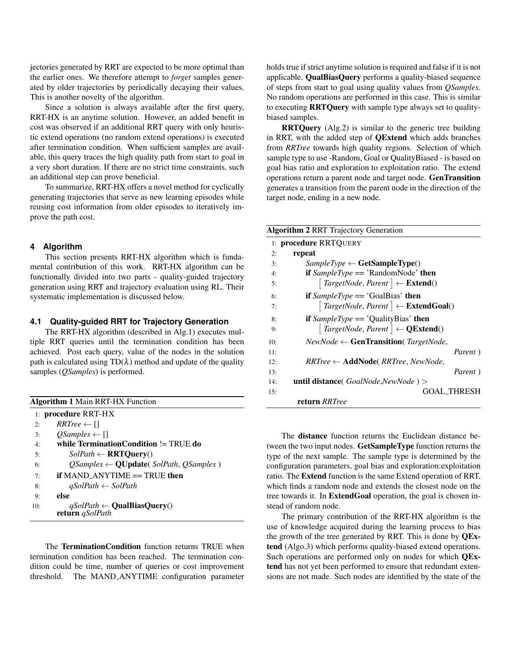jectories generated by RRT are expected to be more optimal than the earlier ones. We therefore attempt to *forget* samples generated by older trajectories by periodically decaying their values. This is another novelty of the algorithm.

Since a solution is always available after the first query, RRT-HX is an anytime solution. However, an added benefit in cost was observed if an additional RRT query with only heuristic extend operations (no random extend operations) is executed after termination condition. When sufficient samples are available, this query traces the high quality path from start to goal in a very short duration. If there are no strict time constraints, such an additional step can prove beneficial.

To summarize, RRT-HX offers a novel method for cyclically generating trajectories that serve as new learning episodes while reusing cost information from older episodes to iteratively improve the path cost.

#### **4 Algorithm**

This section presents RRT-HX algorithm which is fundamental contribution of this work. RRT-HX algorithm can be functionally divided into two parts - quality-guided trajectory generation using RRT and trajectory evaluation using RL. Their systematic implementation is discussed below.

#### **4.1 Quality-guided RRT for Trajectory Generation**

The RRT-HX algorithm (described in Alg.1) executes multiple RRT queries until the termination condition has been achieved. Post each query, value of the nodes in the solution path is calculated using  $TD(\lambda)$  method and update of the quality samples (*QSamples*) is performed.

| <b>Algorithm 1 Main RRT-HX Function</b> |                                                                                    |  |  |  |
|-----------------------------------------|------------------------------------------------------------------------------------|--|--|--|
|                                         | 1: <b>procedure</b> RRT-HX                                                         |  |  |  |
| 2.5                                     | $RRTree \leftarrow \Box$                                                           |  |  |  |
| 3:                                      | $OSamples \leftarrow \Box$                                                         |  |  |  |
| 4·                                      | while Termination Condition != TRUE do                                             |  |  |  |
| 5:                                      | $SolPath \leftarrow \mathbf{RRTQuery}()$                                           |  |  |  |
| 6:                                      | $\mathit{OSamples} \leftarrow \text{OUpdate}(\mathit{SolPath}, \mathit{OSamples})$ |  |  |  |
| 7:                                      | if $MAND_ANYTIME == TRUE$ then                                                     |  |  |  |
| 8.                                      | $qSolPath \leftarrow SolPath$                                                      |  |  |  |
| 9:                                      | else                                                                               |  |  |  |
| 10:                                     | $qSolPath \leftarrow \textbf{QualBiasQuery}()$                                     |  |  |  |
|                                         | return qSolPath                                                                    |  |  |  |

The TerminationCondition function returns TRUE when termination condition has been reached. The termination condition could be time, number of queries or cost improvement threshold. The MAND ANYTIME configuration parameter holds true if strict anytime solution is required and false if it is not applicable. QualBiasQuery performs a quality-biased sequence of steps from start to goal using quality values from *QSamples*. No random operations are performed in this case. This is similar to executing RRTQuery with sample type always set to qualitybiased samples.

RRTQuery (Alg.2) is similar to the generic tree building in RRT, with the added step of QExtend which adds branches from *RRTree* towards high quality regions. Selection of which sample type to use -Random, Goal or QualityBiased - is based on goal bias ratio and exploration to exploitation ratio. The extend operations return a parent node and target node. GenTransition generates a transition from the parent node in the direction of the target node, ending in a new node.

| <b>Algorithm 2 RRT Trajectory Generation</b> |                                                                                 |  |  |
|----------------------------------------------|---------------------------------------------------------------------------------|--|--|
|                                              | 1: <b>procedure</b> RRTQUERY                                                    |  |  |
| 2:                                           | repeat                                                                          |  |  |
| 3:                                           | $SampleType \leftarrow GetSampleType()$                                         |  |  |
| 4:                                           | if $SampleType == 'RandomNode'$ then                                            |  |  |
| 5:                                           | $\left[ \text{TargetNode}, \text{Parent} \right] \leftarrow \text{Extend}()$    |  |  |
| 6:                                           | if $SampleType == 'GoalBias'$ then                                              |  |  |
| 7:                                           | $\left[ \text{TargetNode}, \text{Parent} \right] \leftarrow \text{Extended}(0)$ |  |  |
| 8:                                           | <b>if</b> SampleType == 'QualityBias' <b>then</b>                               |  |  |
| 9:                                           | $\lceil$ TargetNode, Parent $\rceil \leftarrow \textbf{QExtend}()$              |  |  |
| 10:                                          | $NewNode \leftarrow \textbf{GenTransition}(TargetNode,$                         |  |  |
| 11:                                          | Parent)                                                                         |  |  |
| 12:                                          | $RRTree \leftarrow AddNode(RRTree, NewNode,$                                    |  |  |
| 13:                                          | Parent)                                                                         |  |  |
| 14.                                          | <b>until distance</b> ( $GoalNode$ , $NewNode$ ) >                              |  |  |
| 15:                                          | GOAL_THRESH                                                                     |  |  |
|                                              | return RRTree                                                                   |  |  |

The distance function returns the Euclidean distance between the two input nodes. GetSampleType function returns the type of the next sample. The sample type is determined by the configuration parameters, goal bias and exploration:exploitation ratio. The Extend function is the same Extend operation of RRT, which finds a random node and extends the closest node on the tree towards it. In ExtendGoal operation, the goal is chosen instead of random node.

The primary contribution of the RRT-HX algorithm is the use of knowledge acquired during the learning process to bias the growth of the tree generated by RRT. This is done by QExtend (Algo.3) which performs quality-biased extend operations. Such operations are performed only on nodes for which QExtend has not yet been performed to ensure that redundant extensions are not made. Such nodes are identified by the state of the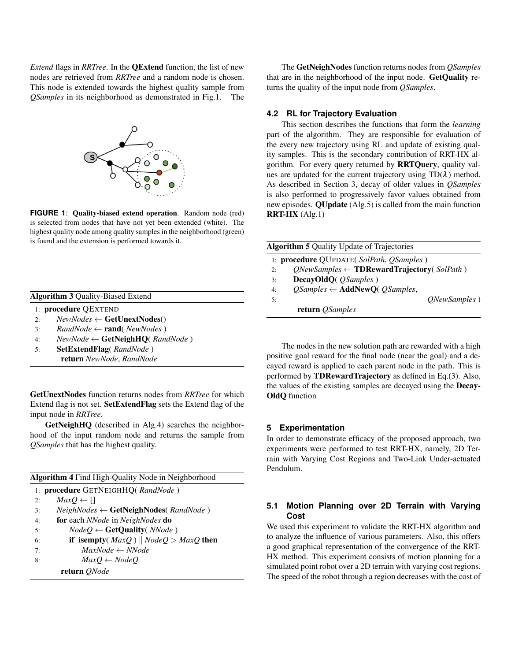*Extend* flags in *RRTree*. In the QExtend function, the list of new nodes are retrieved from *RRTree* and a random node is chosen. This node is extended towards the highest quality sample from *QSamples* in its neighborhood as demonstrated in Fig.1. The



**FIGURE 1**: Quality-biased extend operation. Random node (red) is selected from nodes that have not yet been extended (white). The highest quality node among quality samples in the neighborhood (green) is found and the extension is performed towards it.

|  |  | <b>Algorithm 3 Quality-Biased Extend</b> |  |
|--|--|------------------------------------------|--|
|--|--|------------------------------------------|--|

- 1: procedure QEXTEND
- 2:  $NewNodes \leftarrow GetUnextNodes()$
- 3: *RandNode* ← rand( *NewNodes* )
- 4: *NewNode* ← GetNeighHQ( *RandNode* )
- 5: SetExtendFlag( *RandNode* )
	- return *NewNode*, *RandNode*

GetUnextNodes function returns nodes from *RRTree* for which Extend flag is not set. SetExtendFlag sets the Extend flag of the input node in *RRTree*.

GetNeighHQ (described in Alg.4) searches the neighborhood of the input random node and returns the sample from *QSamples* that has the highest quality.

| <b>Algorithm 4 Find High-Quality Node in Neighborhood</b> |                                                        |  |  |
|-----------------------------------------------------------|--------------------------------------------------------|--|--|
|                                                           | 1: <b>procedure</b> GETNEIGHHO( <i>RandNode</i> )      |  |  |
| 2:                                                        | $MaxO \leftarrow \Box$                                 |  |  |
| 3:                                                        | $NeighNodes \leftarrow \text{GetNeighNodes}(RandNode)$ |  |  |

- 4: for each *NNode* in *NeighNodes* do
- 5: *NodeQ* ← GetQuality( *NNode* )
- 6: **if isempty**( $MaxQ$ ) ||  $NodeQ > MaxQ$  then
- 7: *MaxNode* ← *NNode*
- 8: *MaxQ* ← *NodeQ*
- - return *QNode*

The GetNeighNodes function returns nodes from *QSamples* that are in the neighborhood of the input node. GetQuality returns the quality of the input node from *QSamples*.

### **4.2 RL for Trajectory Evaluation**

This section describes the functions that form the *learning* part of the algorithm. They are responsible for evaluation of the every new trajectory using RL and update of existing quality samples. This is the secondary contribution of RRT-HX algorithm. For every query returned by RRTQuery, quality values are updated for the current trajectory using  $TD(\lambda)$  method. As described in Section 3, decay of older values in *QSamples* is also performed to progressively favor values obtained from new episodes. QUpdate (Alg.5) is called from the main function RRT-HX (Alg.1)

| <b>Algorithm 5 Quality Update of Trajectories</b> |                                                                |  |  |  |
|---------------------------------------------------|----------------------------------------------------------------|--|--|--|
|                                                   | 1: <b>procedure</b> QUPDATE(SolPath, <i>QSamples</i> )         |  |  |  |
| 2:                                                | $QNewsamples \leftarrow \mathbf{TDRewardTrajectory} (SolPath)$ |  |  |  |
| 3:                                                | <b>DecayOldO</b> ( <i>OSamples</i> )                           |  |  |  |
| 4:                                                | $\mathit{QSamples}\leftarrow\text{AddNewQ}(\mathit{QSamples},$ |  |  |  |
| 5:                                                | <i>ONewSamples</i> )                                           |  |  |  |
|                                                   | return <i>QSamples</i>                                         |  |  |  |

The nodes in the new solution path are rewarded with a high positive goal reward for the final node (near the goal) and a decayed reward is applied to each parent node in the path. This is performed by TDRewardTrajectory as defined in Eq.(3). Also, the values of the existing samples are decayed using the Decay-OldQ function

#### **5 Experimentation**

In order to demonstrate efficacy of the proposed approach, two experiments were performed to test RRT-HX, namely, 2D Terrain with Varying Cost Regions and Two-Link Under-actuated Pendulum.

# **5.1 Motion Planning over 2D Terrain with Varying Cost**

We used this experiment to validate the RRT-HX algorithm and to analyze the influence of various parameters. Also, this offers a good graphical representation of the convergence of the RRT-HX method. This experiment consists of motion planning for a simulated point robot over a 2D terrain with varying cost regions. The speed of the robot through a region decreases with the cost of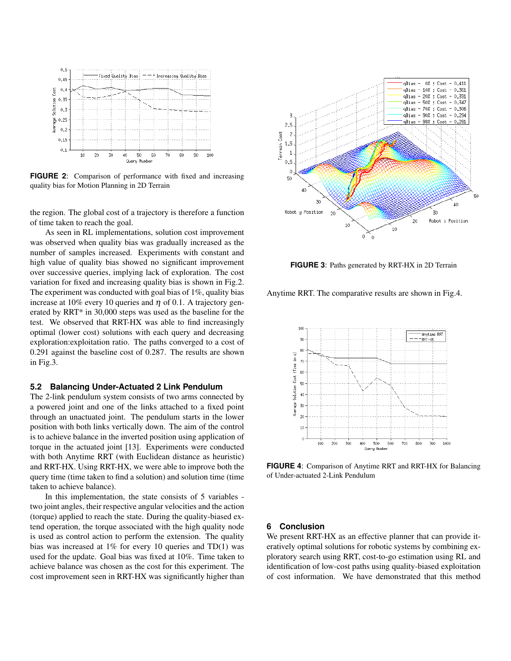

**FIGURE 2**: Comparison of performance with fixed and increasing quality bias for Motion Planning in 2D Terrain

the region. The global cost of a trajectory is therefore a function of time taken to reach the goal.

As seen in RL implementations, solution cost improvement was observed when quality bias was gradually increased as the number of samples increased. Experiments with constant and high value of quality bias showed no significant improvement over successive queries, implying lack of exploration. The cost variation for fixed and increasing quality bias is shown in Fig.2. The experiment was conducted with goal bias of 1%, quality bias increase at 10% every 10 queries and  $\eta$  of 0.1. A trajectory generated by RRT\* in 30,000 steps was used as the baseline for the test. We observed that RRT-HX was able to find increasingly optimal (lower cost) solutions with each query and decreasing exploration:exploitation ratio. The paths converged to a cost of 0.291 against the baseline cost of 0.287. The results are shown in Fig.3.

#### **5.2 Balancing Under-Actuated 2 Link Pendulum**

The 2-link pendulum system consists of two arms connected by a powered joint and one of the links attached to a fixed point through an unactuated joint. The pendulum starts in the lower position with both links vertically down. The aim of the control is to achieve balance in the inverted position using application of torque in the actuated joint [13]. Experiments were conducted with both Anytime RRT (with Euclidean distance as heuristic) and RRT-HX. Using RRT-HX, we were able to improve both the query time (time taken to find a solution) and solution time (time taken to achieve balance).

In this implementation, the state consists of 5 variables two joint angles, their respective angular velocities and the action (torque) applied to reach the state. During the quality-biased extend operation, the torque associated with the high quality node is used as control action to perform the extension. The quality bias was increased at 1% for every 10 queries and TD(1) was used for the update. Goal bias was fixed at 10%. Time taken to achieve balance was chosen as the cost for this experiment. The cost improvement seen in RRT-HX was significantly higher than



**FIGURE 3**: Paths generated by RRT-HX in 2D Terrain

Anytime RRT. The comparative results are shown in Fig.4.



**FIGURE 4**: Comparison of Anytime RRT and RRT-HX for Balancing of Under-actuated 2-Link Pendulum

#### **6 Conclusion**

We present RRT-HX as an effective planner that can provide iteratively optimal solutions for robotic systems by combining exploratory search using RRT, cost-to-go estimation using RL and identification of low-cost paths using quality-biased exploitation of cost information. We have demonstrated that this method